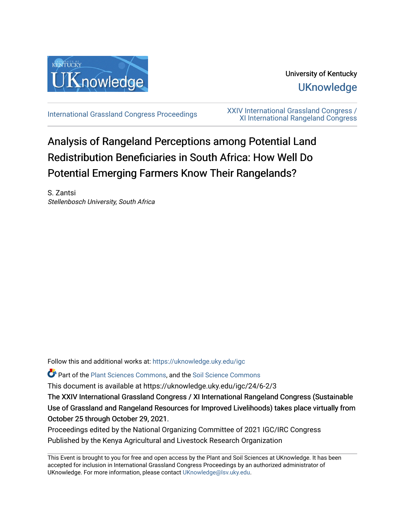

University of Kentucky **UKnowledge** 

[International Grassland Congress Proceedings](https://uknowledge.uky.edu/igc) [XXIV International Grassland Congress /](https://uknowledge.uky.edu/igc/24)  [XI International Rangeland Congress](https://uknowledge.uky.edu/igc/24) 

# Analysis of Rangeland Perceptions among Potential Land Redistribution Beneficiaries in South Africa: How Well Do Potential Emerging Farmers Know Their Rangelands?

S. Zantsi Stellenbosch University, South Africa

Follow this and additional works at: [https://uknowledge.uky.edu/igc](https://uknowledge.uky.edu/igc?utm_source=uknowledge.uky.edu%2Figc%2F24%2F6-2%2F3&utm_medium=PDF&utm_campaign=PDFCoverPages) 

Part of the [Plant Sciences Commons](http://network.bepress.com/hgg/discipline/102?utm_source=uknowledge.uky.edu%2Figc%2F24%2F6-2%2F3&utm_medium=PDF&utm_campaign=PDFCoverPages), and the [Soil Science Commons](http://network.bepress.com/hgg/discipline/163?utm_source=uknowledge.uky.edu%2Figc%2F24%2F6-2%2F3&utm_medium=PDF&utm_campaign=PDFCoverPages) 

This document is available at https://uknowledge.uky.edu/igc/24/6-2/3

The XXIV International Grassland Congress / XI International Rangeland Congress (Sustainable Use of Grassland and Rangeland Resources for Improved Livelihoods) takes place virtually from October 25 through October 29, 2021.

Proceedings edited by the National Organizing Committee of 2021 IGC/IRC Congress Published by the Kenya Agricultural and Livestock Research Organization

This Event is brought to you for free and open access by the Plant and Soil Sciences at UKnowledge. It has been accepted for inclusion in International Grassland Congress Proceedings by an authorized administrator of UKnowledge. For more information, please contact [UKnowledge@lsv.uky.edu](mailto:UKnowledge@lsv.uky.edu).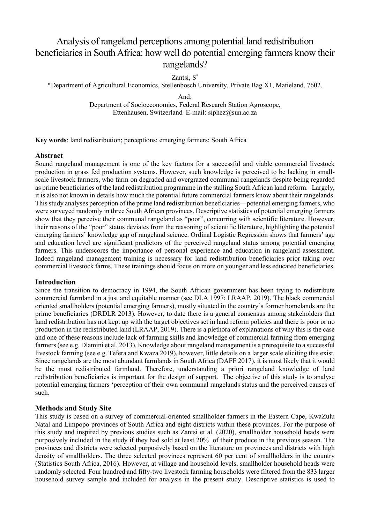## Analysis of rangeland perceptions among potential land redistribution beneficiaries in South Africa: how well do potential emerging farmers know their rangelands?

Zantsi, S\*

\*Department of Agricultural Economics, Stellenbosch University, Private Bag X1, Matieland, 7602.

And;

Department of Socioeconomics, Federal Research Station Agroscope, Ettenhausen, Switzerland E-mail: siphez@sun.ac.za

**Key words**: land redistribution; perceptions; emerging farmers; South Africa

## **Abstract**

Sound rangeland management is one of the key factors for a successful and viable commercial livestock production in grass fed production systems. However, such knowledge is perceived to be lacking in smallscale livestock farmers, who farm on degraded and overgrazed communal rangelands despite being regarded as prime beneficiaries of the land redistribution programme in the stalling South African land reform. Largely, it is also not known in details how much the potential future commercial farmers know about their rangelands. This study analyses perception of the prime land redistribution beneficiaries—potential emerging farmers, who were surveyed randomly in three South African provinces. Descriptive statistics of potential emerging farmers show that they perceive their communal rangeland as "poor", concurring with scientific literature. However, their reasons of the "poor" status deviates from the reasoning of scientific literature, highlighting the potential emerging farmers' knowledge gap of rangeland science. Ordinal Logistic Regression shows that farmers' age and education level are significant predictors of the perceived rangeland status among potential emerging farmers. This underscores the importance of personal experience and education in rangeland assessment. Indeed rangeland management training is necessary for land redistribution beneficiaries prior taking over commercial livestock farms. These trainings should focus on more on younger and less educated beneficiaries.

#### **Introduction**

Since the transition to democracy in 1994, the South African government has been trying to redistribute commercial farmland in a just and equitable manner (see DLA 1997; LRAAP, 2019). The black commercial oriented smallholders (potential emerging farmers), mostly situated in the country's former homelands are the prime beneficiaries (DRDLR 2013). However, to date there is a general consensus among stakeholders that land redistribution has not kept up with the target objectives set in land reform policies and there is poor or no production in the redistributed land (LRAAP, 2019). There is a plethora of explanations of why this is the case and one of these reasons include lack of farming skills and knowledge of commercial farming from emerging farmers(see e.g. Dlamini et al. 2013). Knowledge about rangeland management is a prerequisite to a successful livestock farming (see e.g. Tefera and Kwaza 2019), however, little details on a larger scale eliciting this exist. Since rangelands are the most abundant farmlands in South Africa (DAFF 2017), it is most likely that it would be the most redistributed farmland. Therefore, understanding a priori rangeland knowledge of land redistribution beneficiaries is important for the design of support. The objective of this study is to analyse potential emerging farmers 'perception of their own communal rangelands status and the perceived causes of such.

## **Methods and Study Site**

This study is based on a survey of commercial-oriented smallholder farmers in the Eastern Cape, KwaZulu Natal and Limpopo provinces of South Africa and eight districts within these provinces. For the purpose of this study and inspired by previous studies such as Zantsi et al. (2020), smallholder household heads were purposively included in the study if they had sold at least 20% of their produce in the previous season. The provinces and districts were selected purposively based on the literature on provinces and districts with high density of smallholders. The three selected provinces represent 60 per cent of smallholders in the country (Statistics South Africa, 2016). However, at village and household levels, smallholder household heads were randomly selected. Four hundred and fifty-two livestock farming households were filtered from the 833 larger household survey sample and included for analysis in the present study. Descriptive statistics is used to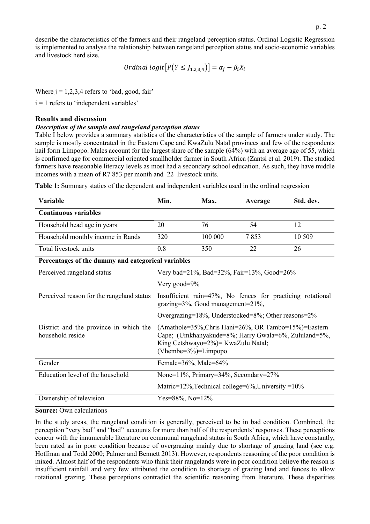describe the characteristics of the farmers and their rangeland perception status. Ordinal Logistic Regression is implemented to analyse the relationship between rangeland perception status and socio-economic variables and livestock herd size.

*Ordinal logit*[
$$
P(Y \le J_{1,2,3,4}
$$
)] =  $\alpha_j - \beta_i X_i$ 

Where  $j = 1,2,3,4$  refers to 'bad, good, fair'

 $i = 1$  refers to 'independent variables'

## **Results and discussion**

#### *Description of the sample and rangeland perception status*

Table I below provides a summary statistics of the characteristics of the sample of farmers under study. The sample is mostly concentrated in the Eastern Cape and KwaZulu Natal provinces and few of the respondents hail form Limpopo. Males account for the largest share of the sample (64%) with an average age of 55, which is confirmed age for commercial oriented smallholder farmer in South Africa (Zantsi et al. 2019). The studied farmers have reasonable literacy levels as most had a secondary school education. As such, they have middle incomes with a mean of R7 853 per month and 22 livestock units.

| Variable                                                   | Min.                                                                                                                                                                            | Max.    | Average | Std. dev. |  |
|------------------------------------------------------------|---------------------------------------------------------------------------------------------------------------------------------------------------------------------------------|---------|---------|-----------|--|
| <b>Continuous variables</b>                                |                                                                                                                                                                                 |         |         |           |  |
| Household head age in years                                | 20                                                                                                                                                                              | 76      | 54      | 12        |  |
| Household monthly income in Rands                          | 320                                                                                                                                                                             | 100 000 | 7853    | 10 509    |  |
| Total livestock units                                      | 0.8                                                                                                                                                                             | 350     | 22      | 26        |  |
| Percentages of the dummy and categorical variables         |                                                                                                                                                                                 |         |         |           |  |
| Perceived rangeland status                                 | Very bad=21%, Bad=32%, Fair=13%, Good=26%                                                                                                                                       |         |         |           |  |
|                                                            | Very good= $9\%$                                                                                                                                                                |         |         |           |  |
| Perceived reason for the rangeland status                  | Insufficient rain=47%, No fences for practicing rotational<br>$grazing=3\%,$ Good management= $21\%,$                                                                           |         |         |           |  |
|                                                            | Overgrazing=18%, Understocked=8%; Other reasons=2%                                                                                                                              |         |         |           |  |
| District and the province in which the<br>household reside | (Amathole=35%, Chris Hani=26%, OR Tambo=15%)=Eastern<br>Cape; (Umkhanyakude=8%; Harry Gwala=6%, Zululand=5%,<br>King Cetshwayo=2%) = KwaZulu Natal;<br>(Vhembe= $3\%$ )=Limpopo |         |         |           |  |
| Gender                                                     | Female=36%, Male=64%                                                                                                                                                            |         |         |           |  |
| Education level of the household                           | None=11%, Primary=34%, Secondary=27%                                                                                                                                            |         |         |           |  |
|                                                            | Matric= $12\%$ , Technical college= $6\%$ , University = $10\%$                                                                                                                 |         |         |           |  |
| Ownership of television                                    | Yes=88%, No= $12\%$                                                                                                                                                             |         |         |           |  |

**Table 1:** Summary statics of the dependent and independent variables used in the ordinal regression

#### **Source:** Own calculations

In the study areas, the rangeland condition is generally, perceived to be in bad condition. Combined, the perception "very bad" and "bad" accounts for more than half of the respondents' responses. These perceptions concur with the innumerable literature on communal rangeland status in South Africa, which have constantly, been rated as in poor condition because of overgrazing mainly due to shortage of grazing land (see e.g. Hoffman and Todd 2000; Palmer and Bennett 2013). However, respondents reasoning of the poor condition is mixed. Almost half of the respondents who think their rangelands were in poor condition believe the reason is insufficient rainfall and very few attributed the condition to shortage of grazing land and fences to allow rotational grazing. These perceptions contradict the scientific reasoning from literature. These disparities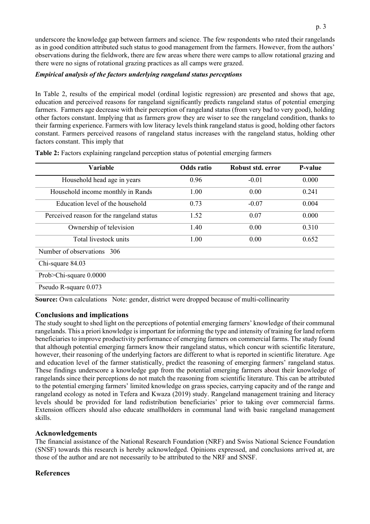underscore the knowledge gap between farmers and science. The few respondents who rated their rangelands as in good condition attributed such status to good management from the farmers. However, from the authors' observations during the fieldwork, there are few areas where there were camps to allow rotational grazing and there were no signs of rotational grazing practices as all camps were grazed.

## *Empirical analysis of the factors underlying rangeland status perceptions*

In Table 2, results of the empirical model (ordinal logistic regression) are presented and shows that age, education and perceived reasons for rangeland significantly predicts rangeland status of potential emerging farmers. Farmers age decrease with their perception of rangeland status (from very bad to very good), holding other factors constant. Implying that as farmers grow they are wiser to see the rangeland condition, thanks to their farming experience. Farmers with low literacy levels think rangeland status is good, holding other factors constant. Farmers perceived reasons of rangeland status increases with the rangeland status, holding other factors constant. This imply that

| Variable                                  | <b>Odds</b> ratio | Robust std. error | P-value |
|-------------------------------------------|-------------------|-------------------|---------|
| Household head age in years               | 0.96              | $-0.01$           | 0.000   |
| Household income monthly in Rands         | 1.00              | 0.00              | 0.241   |
| Education level of the household          | 0.73              | $-0.07$           | 0.004   |
| Perceived reason for the rangeland status | 1.52              | 0.07              | 0.000   |
| Ownership of television                   | 1.40              | 0.00              | 0.310   |
| Total livestock units                     | 1.00              | 0.00              | 0.652   |
| Number of observations<br>306             |                   |                   |         |
| Chi-square 84.03                          |                   |                   |         |
| Prob>Chi-square 0.0000                    |                   |                   |         |
| Pseudo R-square 0.073                     |                   |                   |         |

**Table 2:** Factors explaining rangeland perception status of potential emerging farmers

**Source:** Own calculations Note: gender, district were dropped because of multi-collinearity

## **Conclusions and implications**

The study sought to shed light on the perceptions of potential emerging farmers' knowledge of their communal rangelands. This a priori knowledge is important for informing the type and intensity of training for land reform beneficiaries to improve productivity performance of emerging farmers on commercial farms. The study found that although potential emerging farmers know their rangeland status, which concur with scientific literature, however, their reasoning of the underlying factors are different to what is reported in scientific literature. Age and education level of the farmer statistically, predict the reasoning of emerging farmers' rangeland status. These findings underscore a knowledge gap from the potential emerging farmers about their knowledge of rangelands since their perceptions do not match the reasoning from scientific literature. This can be attributed to the potential emerging farmers' limited knowledge on grass species, carrying capacity and of the range and rangeland ecology as noted in Tefera and Kwaza (2019) study. Rangeland management training and literacy levels should be provided for land redistribution beneficiaries' prior to taking over commercial farms. Extension officers should also educate smallholders in communal land with basic rangeland management skills.

## **Acknowledgements**

The financial assistance of the National Research Foundation (NRF) and Swiss National Science Foundation (SNSF) towards this research is hereby acknowledged. Opinions expressed, and conclusions arrived at, are those of the author and are not necessarily to be attributed to the NRF and SNSF.

## **References**